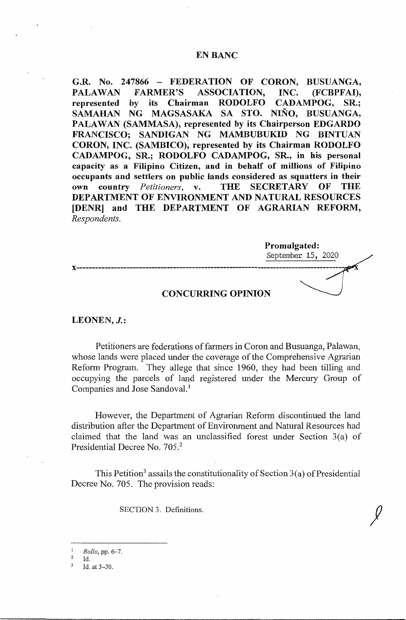# EN BANC

**G.R. No. 247866** - **FEDERATION OF CORON, BUSUANGA, PALAWAN FARMER'S ASSOCIATION, INC. (FCBPFAI), represented by** its **Chairman RODOLFO CADAMPOG, SR.; SAMAHAN NG MAGSASAKA SA STO. NINO, BUSUANGA, PALA WAN (SAMMASA), represented by its Chairperson EDGARDO FRANCISCO; SANDIGAN NG MAMBUBUKID NG BINTUAN CORON, INC. (SAMBICO)~ represented by its Chairman RODOLFO CADAMPOG, SR.; RODOLFO CADAMPOG, SR., in his personal capacity as a Filipino Citizen, and in behalf of millions of Filipino occupants and settlers on public lands considered as squatters in their own country** *Petitioners,* **v. THE SECRETARY OF THE DEPARTMENT OF ENVIRONMENT AND NATURAL RESOURCES [DENR] and THE DEPARTMENT OF AGRARIAN REFORM,**  *Respondents.* 

**Promulgated:**  September 15, 2020 **x-------------------------------------------------------------------------------------- CONCURRING OPINION** 

**LEONEN, J.:** 

Petitioners are federations of farmers in Coron and Busuanga, Palawan, whose lands were placed under the coverage of the Comprehensive Agrarian Reform Program. They allege that since 1960, they had been tilling and occupying the parcels of land registered under the Mercury Group of Companies and Jose Sandoval.<sup>1</sup>

However, the Department of Agrarian Reform discontinued the land distribution after the Department of Environment and Natural Resources had claimed that the land was an unclassified forest under Section 3(a) of Presidential Decree No. 705.<sup>2</sup>

This Petition<sup>3</sup> assails the constitutionality of Section  $3(a)$  of Presidential Decree No. 705. The provision reads:

SECTION 3. Definitions.

<sup>1</sup>*Rollo,* pp. 6-7.

Id.<br>Id. at 3-30.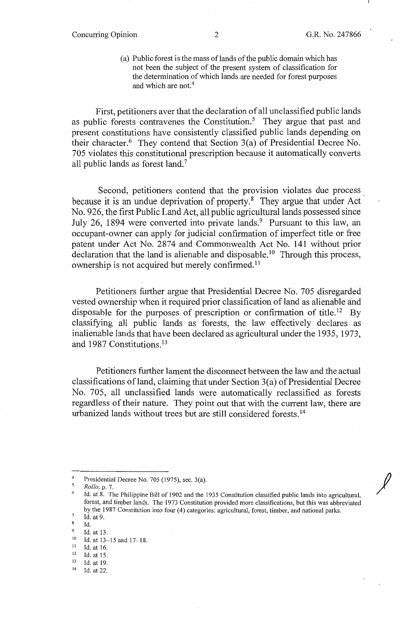$\mathcal{J}$ 

(a) Public forest is the mass of lands of the public domain which has not been the subject of the present system of classification for the determination of which lands are needed for forest purposes and which are not.<sup>4</sup>

First, petitioners aver that the declaration of all unclassified public lands as public forests contravenes the Constitution.<sup>5</sup> They argue that past and present constitutions have consistently classified public lands depending on their character.<sup>6</sup> They contend that Section  $3(a)$  of Presidential Decree No. 705 violates this constitutional prescription because it automatically converts all public lands as forest land.<sup>7</sup>

Second, petitioners contend that the provision violates due process because it is an undue deprivation of property.<sup>8</sup> They argue that under Act No. 926, the first Public Land Act, all public agricultural lands possessed since July 26, 1894 were converted into private lands.<sup>9</sup> Pursuant to this law, an occupant-owner can apply for judicial confirmation of imperfect title or free patent under Act No. 2874 and Commonwealth Act No. 141 without prior  $\alpha$  declaration that the land is alienable and disposable.<sup>10</sup> Through this process, ownership is not acquired but merely confirmed.<sup>11</sup>

Petitioners further argue that Presidential Decree No. 705 disregarded vested ownership when it required prior classification of land as alienable and disposable for the purposes of prescription or confirmation of title.<sup>12</sup> By classifying all public lands as forests, the law effectively declares as inalienable lands that have been declared as agricultural under the 1935, 1973, and 1987 Constitutions. <sup>13</sup>

Petitioners further lament the disconnect between the law and the actual classifications of land, claiming that under Section  $3(a)$  of Presidential Decree No. 705, all unclassified lands were automatically reclassified as forests regardless of their nature. They point out that with the current law, there are urbanized lands without trees but are still considered forests. 14

<sup>&</sup>lt;sup>4</sup> Presidential Decree No. 705 (1975), sec. 3(a).

<sup>5</sup>*Rollo,* p. 7.

Id. at 8. The Philippine Bill of 1902 and the 1935 Constitution classified public lands into agricultural, forest, and timber lands. The 1973 Constitution provided more classifications, but this was abbreviated by the 1987 Constitution into four (4) categories: agricultural, forest, timber, and national parks.

 $\frac{7}{8}$  Id. at 9.

Id.

 $^{9}$  Id. at 13.

<sup>10</sup> Id. at 13-15 and 17-18.<br>
11 Id. at 16.<br>
12 Id. at 15.<br>
13 Id. at 19.<br>
14 Id. at 22.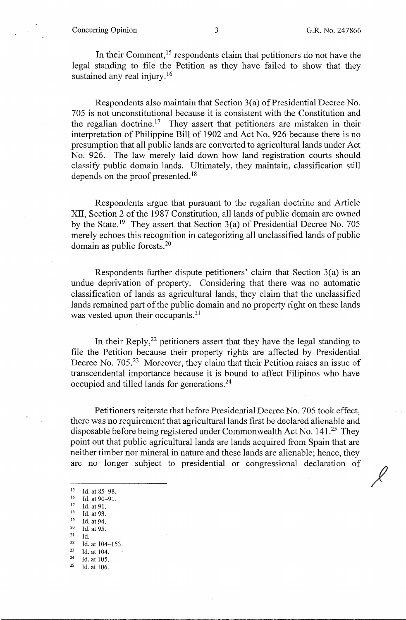### Concurring Opinion 3 G.R. No. 247866

 $\chi$ 

In their Comment,<sup>15</sup> respondents claim that petitioners do not have the legal standing to file the Petition as they have failed to show that they sustained any real injury.<sup>16</sup>

Respondents also maintain that Section 3(a) of Presidential Decree No. 705 is not unconstitutional because it is consistent with the Constitution and the regalian doctrine.<sup>17</sup> They assert that petitioners are mistaken in their interpretation of Philippine Bill of 1902 and Act No. 926 because there is no presumption that all public lands are converted to agricultural lands under Act No. 926. The law merely laid down how land registration courts should classify public domain lands. Ultimately, they maintain, classification still depends on the proof presented.<sup>18</sup>

Respondents argue that pursuant to the regalian doctrine and Article XII, Section 2 of the 1987 Constitution, all lands of public domain are owned by the State.<sup>19</sup> They assert that Section  $3(a)$  of Presidential Decree No. 705 merely echoes this recognition in categorizing all unclassified lands of public domain as public forests. <sup>20</sup>

Respondents further dispute petitioners' claim that Section 3(a) is an undue deprivation of property. Considering that there was no automatic classification of lands as agricultural lands, they claim that the unclassified lands remained part of the public domain and no property right on these lands was vested upon their occupants.<sup>21</sup>

In their Reply, $^{22}$  petitioners assert that they have the legal standing to file the Petition because their property rights are affected by Presidential Decree No. 705.<sup>23</sup> Moreover, they claim that their Petition raises an issue of transcendental importance because it is bound to affect Filipinos who have occupied and tilled lands for generations.24

Petitioners reiterate that before Presidential Decree No. 705 took effect, there was no requirement that agricultural lands first be declared alienable and disposable before being registered under Commonwealth Act No.  $141.^{25}$  They point out that public agricultural lands are lands acquired from Spain that are neither timber nor mineral in nature and these lands are alienable; hence, they are no longer subject to presidential or congressional declaration of

- 
- 
- <sup>17</sup> Id. at 91.<br>
<sup>18</sup> Id. at 93.<br>
<sup>19</sup> Id. at 94.<br>
<sup>20</sup> Id. at 95.
- 
- 
- <sup>21</sup> Id.<br>
<sup>22</sup> Id. at 104-153.<br>
<sup>23</sup> Id. at 104
- $\frac{23}{24}$  Id. at 104.<br>  $\frac{24}{25}$  Id. at 105.
- 
- Id. at 106.

<sup>&</sup>lt;sup>15</sup> Id. at 85-98.<br><sup>16</sup> Id. at 90-91.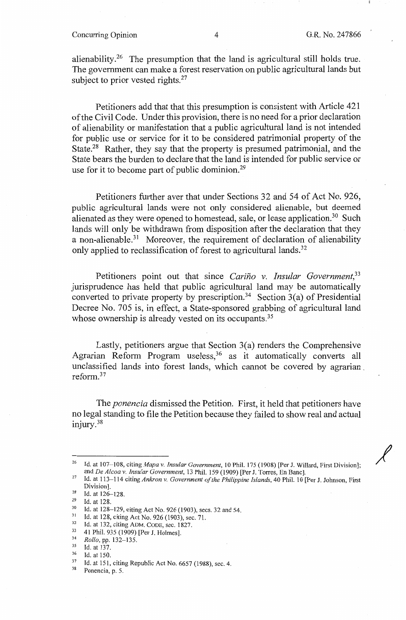## Concurring Opinion 4 G.R. No. 247866

 $\chi$ 

alienability.<sup>26</sup> The presumption that the land is agricultural still holds true. The government can make a forest reservation on public agricultural lands but subject to prior vested rights.<sup>27</sup>

Petitioners add that that this presumption is consistent with Article 421 of the Civil Code. Under this provision, there is no need for a prior declaration of alienability or manifestation that a public agricultural land is not intended for public use or service for it to be considered patrimonial property of the State.<sup>28</sup> Rather, they say that the property is presumed patrimonial, and the State bears the burden to declare that the land is intended for public service or use for it to become part of public dominion.<sup>29</sup>

Petitioners further aver that under Sections 32 and 54 of Act No. 926, public agricultural lands were not only considered alienable, but deemed alienated as they were opened to homestead, sale, or lease application.<sup>30</sup> Such lands will only be withdrawn from disposition after the declaration that they a non-alienable.<sup>31</sup> Moreover, the requirement of declaration of alienability only applied to reclassification of forest to agricultural lands.<sup>32</sup>

Petitioners point out that since *Carino v. Insular Government,33*  jurisprudence has held that public agricultural land may be automatically converted to private property by prescription.<sup>34</sup> Section 3(a) of Presidential Decree No. 705 is, in effect, a State-sponsored grabbing of agricultural land whose ownership is already vested on its occupants.<sup>35</sup>

Lastly, petitioners argue that Section 3(a) renders the Comprehensive Agrarian Reform Program useless,<sup>36</sup> as it automatically converts all unclassified lands into forest lands, which cannot be covered by agrarian \_ reform. <sup>37</sup>

The *ponencia* dismissed the Petition. First, it held that petitioners have no legal standing to file the Petition because they failed to show real and actual injury. <sup>38</sup>

<sup>&</sup>lt;sup>26</sup> Id. at 107-108, citing *Mapa v. Insular Government*, 10 Phil. 175 (1908) [Per J. Willard, First Division];<br>and *De Alcoa v. Insular Government*, 13 Phil. 159 (1909) [Per J. Torres, En Banc].

and *De Alcoa v. Insular Government,* 13 Phil. 159 (1909) [Per J. Torres, En Banc]. 27 Id. at 113-114 citing *Ankron v. Government of the Philippine Islands,* 40 Phil. 10 [Per J. Johnson, First

 $\frac{28}{29}$  Id. at 126-128.

<sup>&</sup>lt;sup>29</sup> Id. at 128.<br><sup>30</sup> Id. at 128-129, citing Act No. 926 (1903), secs. 32 and 54.<br><sup>31</sup> Id. at 128, citing Act No. 926 (1903), sec. 71.<br><sup>32</sup> Id. at 132, citing ADM. CODE, sec. 1827.<br><sup>33</sup> 41 Phil. 935 (1909) [Per J. Holmes]

<sup>&</sup>lt;sup>34</sup> *Rollo, pp.* 132–135.<br>
<sup>35</sup> Id. at 137.<br>
<sup>36</sup> Id. at 150.<br>
<sup>37</sup> Id. at 151, citing Republic Act No. 6657 (1988), sec. 4.<br>
<sup>38</sup> Ponencia, p. 5.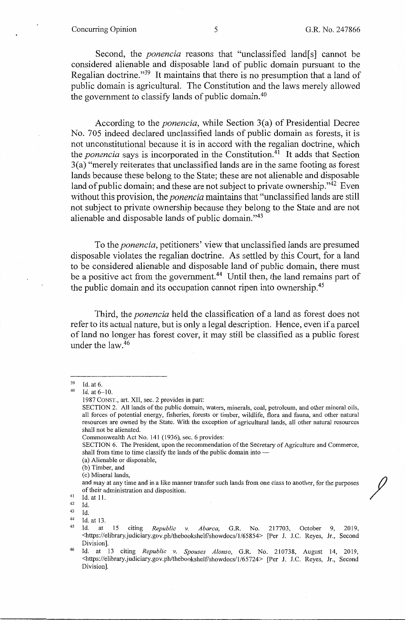## Concurring Opinion 5 G.R. No. 247866

Second, the *ponencia* reasons that "unclassified land[s] cannot be considered alienable and disposable land of public domain pursuant to the Regalian doctrine."39 It maintains that there is no presumption that a land of public domain is agricultural. The Constitution and the laws merely allowed the government to classify lands of public domain. 40

According to the *ponencia,* while Section 3(a) of Presidential Decree No. 705 indeed declared unclassified lands of public domain as forests, it is not unconstitutional because it is in accord with the regalian doctrine, which the *ponencia* says is incorporated in the Constitution.41 It adds that Section 3(a) "merely reiterates that unclassified lands are in the same footing as forest lands because these belong to the State; these are not alienable and disposable land of public domain; and these are not subject to private ownership."<sup>42</sup> Even without this provision, the *ponencia* maintains that "unclassified lands are still not subject to private ownership because they belong to the State and are not alienable and disposable lands of public domain."43

To the *ponencia,* petitioners' view that unclassified lands are presumed disposable violates the regalian doctrine. As settled by this Court, for a land to be considered alienable and disposable land of public domain, there must be a positive act from the government.<sup>44</sup> Until then, the land remains part of the public domain and its occupation cannot ripen into ownership.<sup>45</sup>

Third, the *ponencia* held the classification of a land as forest does not refer to its actual nature, but is only a legal description. Hence, even if a parcel of land no longer has forest cover, it may still be classified as a public forest under the law.<sup>46</sup>

SECTION 6. The President, upon the recommendation of the Secretary of Agriculture and Commerce, shall from time to time classify the lands of the public domain into -

(a) Alienable or disposable,

(c) Mineral lands,

and may at any time and in a like manner transfer such lands from one class to another, for the purposes % of their administration and disposition.<br>41 Id. at 11.<br>42 Id.<br>43 Id.

 $^{43}$  Id.<br> $^{44}$  Id. at 13.<br> $^{45}$  Id. at

 $39$  Id. at 6.<br> $40$  Id. at 6-10.

<sup>1987</sup> CONST., art. XII, sec. 2 provides in part:

SECTION 2. All lands of the public domain, waters, minerals, coal, petroleum, and other mineral oils, all forces of potential energy, fisheries, forests or timber, wildlife, flora and fauna, and other natural resources are owned by the State. With the exception of agricultural lands, all other natural resources shall not be alienated.

Commonwealth Act No. 141 (1936), sec. 6 provides:

<sup>(</sup>b) Timber, and

<sup>45</sup> Id. at 15 citing *Republic v. Abarca,* G.R. No. 217703, October 9, 2019, <https://elibrary.judiciary.gov.ph/thebookshelf/showdocs/1/65854> [Per J. J.C. Reyes, Jr., Second Division].

<sup>46</sup> Id. at 13 citing *Republic v. Spouses Alonso,* G.R. No. 210738, August 14, 2019, <https://elibrary.judiciary.gov.ph/thebookshelf/showdocs/1/65724> [Per J. J.C. Reyes, Jr., Second Division].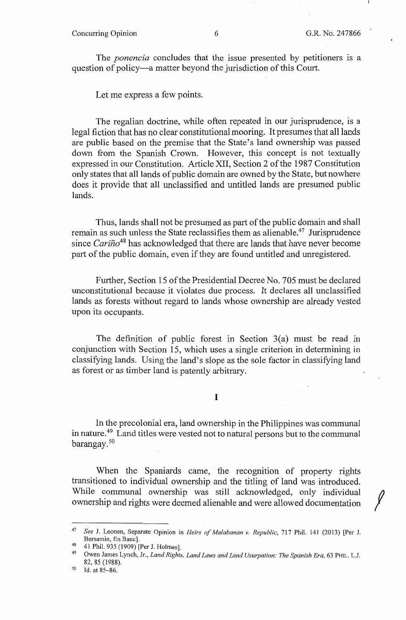# Concurring Opinion 6 6 G.R. No. 247866

The *ponencia* concludes that the issue presented by petitioners is a question of policy-a matter beyond the jurisdiction of this Court.

Let me express a few points.

The regalian doctrine, while often repeated in our jurisprudence, is a legal fiction that has no clear constitutional mooring. It presumes that all lands are public based on the premise that the State's land ownership was passed down from the Spanish Crown. However, this concept is not textually expressed in our Constitution. Article XII, Section 2 of the 1987 Constitution only states that all lands of public domain are owned by the State, but nowhere does it provide that all unclassified and untitled lands are presumed public lands.

Thus, lands shall not be presumed as part of the public domain and shall remain as such unless the State reclassifies them as alienable.<sup>47</sup> Jurisprudence since *Cariño*<sup>48</sup> has acknowledged that there are lands that have never become part of the public domain, even if they are found untitled and unregistered.

Further, Section 15 of the Presidential Decree No. 705 must be declared unconstitutional because it violates due process. It declares all unclassified lands as forests without regard to lands whose ownership are already vested upon its occupants.

The definition of public forest in Section  $3(a)$  must be read in conjunction with Section 15, which uses a single criterion in determining in classifying lands. Using the land's slope as the sole factor in classifying land as forest or as timber land is patently arbitrary.

#### I

In the precolonial era, land ownership in the Philippines was communal in nature.49 Land titles were vested not to natural persons but to the communal barangay. 50

When the Spaniards came, the recognition of property rights transitioned to individual ownership and the titling of land was introduced. While communal ownership was still acknowledged, only individual ownership and rights were deemed alienable and were allowed documentation

<sup>47</sup>*See* J. Leonen, Separate Opinion in *Heirs of Malabanan v. Republic,* 717 Phil. 141 (2013) [Per J.

<sup>41</sup> Phil. 935 (1909) [Per J. Holmes].

Owen James Lynch, Jr., *Land Rights, Land Laws and Land Usurpation: The Spanish Era*, 63 PHIL. L.J. 82, 85 (1988).

 $50$  Id. at 85-86.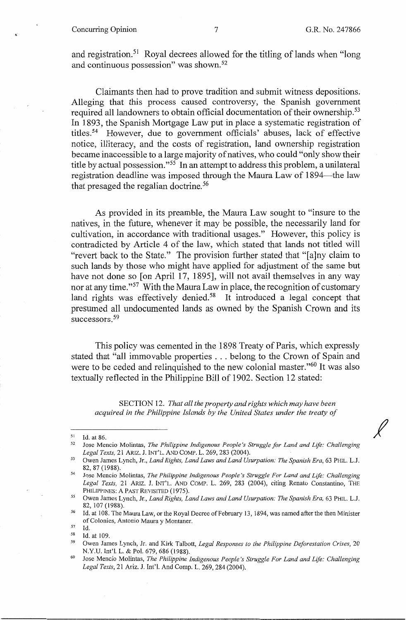## Concurring Opinion 7 G.R. No. 247866

*I* 

and registration.51 Royal decrees allowed for the titling of lands when "long and continuous possession" was shown. 52

Claimants then had to prove tradition and submit witness depositions. Alleging that this process caused controversy, the Spanish government required all landowners to obtain official documentation of their ownership.<sup>53</sup> In 1893, the Spanish Mortgage Law put in place a systematic registration of titles. 54 However, due to government officials' abuses, lack of effective notice, illiteracy, and the costs of registration, land ownership registration became inaccessible to a large majority of natives, who could "only show their title by actual possession. "55 In an attempt to address this problem, a unilateral registration deadline was imposed through the Maura Law of 1894-the law that presaged the regalian doctrine. 56

As provided in its preamble, the Maura Law sought to "insure to the natives, in the future, whenever it may be possible, the necessarily land for cultivation, in accordance with traditional usages." However, this policy is contradicted by Article 4 of the law, which stated that lands not titled will "revert back to the State." The provision further stated that "[a]ny claim to such lands by those who might have applied for adjustment of the same but have not done so [on April 17, 1895], will not avail themselves in any way nor at any time."<sup>57</sup> With the Maura Law in place, the recognition of customary land rights was effectively denied.<sup>58</sup> It introduced a legal concept that presumed all undocumented lands as owned by the Spanish Crown and its successors.<sup>59</sup>

This policy was cemented in the 1898 Treaty of Paris, which expressly stated that "all immovable properties ... belong to the Crown of Spain and were to be ceded and relinquished to the new colonial master."<sup>60</sup> It was also textually reflected in the Philippine Bill of 1902. Section 12 stated:

SECTION 12. *That all the property and rights which may have been acquired in the Philippine Islands by the United States under the treaty of* 

<sup>&</sup>lt;sup>51</sup> Id. at 86.<br><sup>52</sup> Jose Mencio Molintas, *The Philippine Indigenous People's Struggle for Land and Life: Challenging* 

*Legal Texts, 21 ARIZ. J. INT'L. AND COMP. L. 269, 283 (2004).* 53 Owen James Lynch, Jr., *Land Rights, Land Laws and Land Usurpation: The Spanish Era, 63 PHIL. L.J.* 82, 87 (1988). 54 Jose Mencio Molintas, *The Philippine Indigenous People's Struggle For Land and Life: Challenging* 

*Legal Texts,* 21 ARIZ. J. lNT'L. AND COMP. L. 269, 283 (2004), citing Renato Constantino, THE

<sup>&</sup>lt;sup>55</sup> Owen James Lynch, Jr., *Land Rights, Land Laws and Land Usurpation: The Spanish Era,* 63 PHIL. L.J.

<sup>82, 107 (1988).&</sup>lt;br>
<sup>56</sup> Id. at 108. The Maura Law, or the Royal Decree of February 13, 1894, was named after the then Minister of Colonies, Antonio Maura y Montaner.

<sup>57</sup> Id. 58 Id. at 109. 59 Owen James Lynch, Jr. and Kirk Talbott, *Legal Responses to the Philippine Deforestation Crises,* <sup>20</sup> N.Y.U. Int'l. L. & Pol. 679, 686 (1988).<br><sup>60</sup> Jose Mencio Molintas, *The Philippine Indigenous People's Struggle For Land and Life: Challenging* 

*Legal Texts,* 21 Ariz. J. Int'!. And Comp. L. 269,284 (2004).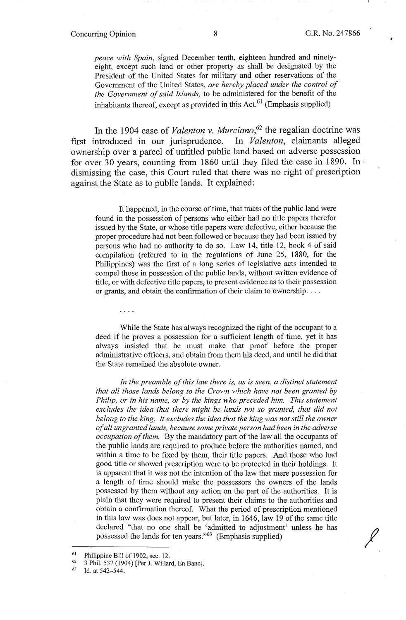## Concurring Opinion 8 G.R. No. 247866

,,;

*peace with Spain,* signed December tenth, eighteen hundred and ninetyeight, except such land or other property as shall be designated by the President of the United States for military and other reservations of the Government of the United States, *are hereby placed under the control of the Government of said Islands,* to be administered for the benefit of the inhabitants thereof, except as provided in this  $Act.<sup>61</sup>$  (Emphasis supplied)

In the 1904 case of *Valenton v. Murciano*,<sup>62</sup> the regalian doctrine was first introduced in our jurisprudence. In *Valenton,* claimants alleged ownership over a parcel of untitled public land based on adverse possession for over 30 years, counting from 1860 until they filed the case in 1890. In· dismissing the case, this Court ruled that there was no right of prescription against the State as to public lands. It explained:

It happened, in the course of time, that tracts of the public land were found in the possession of persons who either had no title papers therefor issued by the State, or whose title papers were defective, either because the proper procedure had not been followed or because they had been issued by persons who had no authority to do so. Law 14, title 12, book 4 of said compilation (referred to in the regulations of June 25, 1880, for the Philippines) was the first of a long series of legislative acts intended to compel those in possession of the public lands, without written evidence of title, or with defective title papers, to present evidence as to their possession or grants, and obtain the confirmation of their claim to ownership....

While the State has always recognized the right of the occupant to a deed if he proves a possession for a sufficient length of time, yet it has always insisted that he must make that proof before the proper administrative officers, and obtain from them his deed, and until he did that the State remained the absolute owner.

*In the preamble of this law there is, as is seen, a distinct statement that all those lands belong to the Crown which have not been granted by Philip, or in his name, or by the kings who preceded him. This statement*  excludes the idea that there might be lands not so granted, that did not *belong to the king. It excludes the idea that the king was not still the owner of all ungranted lands, because some private person had been in the adverse occupation of them.* By the mandatory part of the law all the occupants of the public lands are required to produce before the authorities named, and within a time to be fixed by them, their title papers. And those who had good title or showed prescription were to be protected in their holdings. It is apparent that it was not the intention of the law that mere possession for a length of time should make the possessors the owners of the lands possessed by them without any action on the part of the authorities. It is plain that they were required to present their claims to the authorities and obtain a confirmation thereof. What the period of prescription mentioned in this law was does not appear, but later, in 1646, law 19 of the same title declared "that no one shall be 'admitted to adjustment' unless he has possessed the lands for ten years."63 (Emphasis supplied)

 $\ldots$  .

<sup>&</sup>lt;sup>61</sup> Philippine Bill of 1902, sec. 12.<br><sup>62</sup> 3 Phil. 537 (1904) [Per J. Willard, En Banc].

<sup>&</sup>lt;sup>63</sup> Id. at 542–544.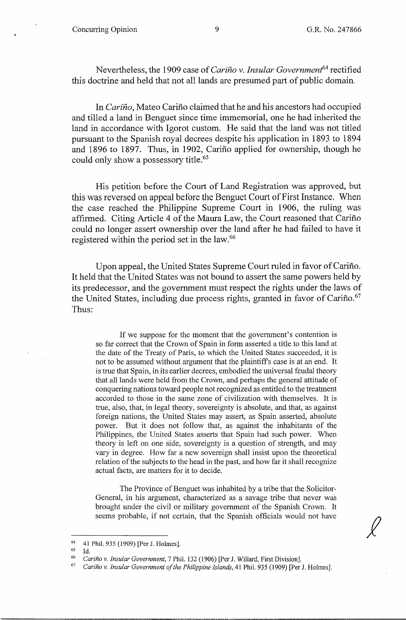Nevertheless, the 1909 case of *Cariño v. Insular Government*<sup>64</sup> rectified this doctrine and held that not all lands are presumed part of public domain.

In *Cariño*, Mateo Cariño claimed that he and his ancestors had occupied and tilled a land in Benguet since time immemorial, one he had inherited the land in accordance with Igorot custom. He said that the land was not titled pursuant *to* the Spanish royal decrees despite his application in 1893 *to* 1894 and 1896 to 1897. Thus, in 1902, Carino applied for ownership, though he could only show a possessory title.<sup>65</sup>

His petition before the Court of Land Registration was approved, but this was reversed on appeal before the Benguet Court of First Instance. When the case reached the Philippine Supreme Court in 1906, the ruling was affirmed. Citing Article 4 of the Maura Law, the Court reasoned that Cariño could no longer assert ownership over the land after he had failed to have it registered within the period set in the law.<sup>66</sup>

Upon appeal, the United States Supreme Court ruled in favor of Cariño. It held that the United States was not bound *to* assert the same powers held by its predecessor, and the government must respect the rights under the laws of the United States, including due process rights, granted in favor of Cariño.<sup>67</sup> Thus:

If we suppose for the moment that the government's contention is so far correct that the Crown of Spain in form asserted a title to this land at the date of the Treaty of Paris, to which the United States succeeded, it is not to be assumed without argument that the plaintiffs case is at an end. It is true that Spain, in its earlier decrees, embodied the universal feudal theory that all lands were held from the Crown, and perhaps the general attitude of conquering nations toward people not recognized as entitled to the treatment accorded to those in the same zone of civilization with themselves. It is true, also, that, in legal theory, sovereignty is absolute, and that, as against foreign nations, the United States may assert, as Spain asserted, absolute power. But it does not follow that, as against the inhabitants of the Philippines, the United States asserts that Spain had such power. When theory is left on one side, sovereignty is a question of strength, and may vary in degree. How far a new sovereign shall insist upon the theoretical relation of the subjects to the head in the past, and how far it shall recognize actual facts, are matters for it to decide.

The Province of Benguet was inhabited by a tribe that the Solicitor-General, in his argument, characterized as a savage tribe that never was brought under the civil or military government of the Spanish Crown. It seems probable, if not certain, that the Spanish officials would not have

<sup>&</sup>lt;sup>64</sup> 41 Phil. 935 (1909) [Per J. Holmes].

Gs Id. 66 *Carino v. Insular Government,* 7 Phil. 132 (1906) [Per J. Willard, First Division]. 67 *Carino v. Insular Government of the Philippine Islands,* 41 Phil. 935 (1909) [Per J. Holmes].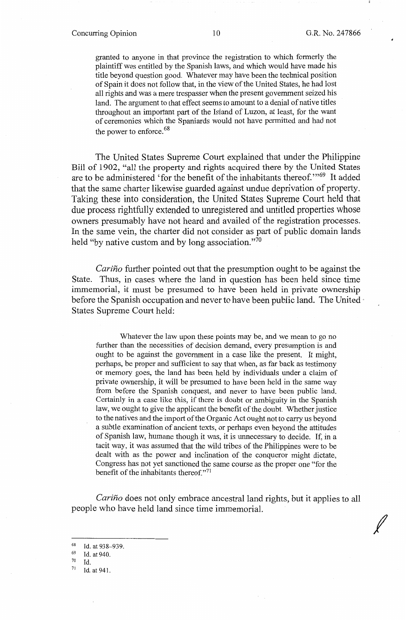### Concurring Opinion 10 G.R. No. 247866

*I* 

granted to anyone in that province the registration to which formerly the plaintiff was entitled by the Spanish laws, and which would have made his title beyond question good. Whatever may have been the technical position of Spain it does not follow that, in the view of the United States, he had lost all rights and was a mere trespasser when the present government seized his land. The argument to that effect seems to amount to a denial of native titles throughout an important part of the Island of Luzon, at least, for the want of ceremonies which the Spaniards would not have permitted and had not the power to enforce.<sup>68</sup>

The United States Supreme Court explained that under the Philippine Bill of 1902, "all the property and rights acquired there by the United States are to be administered 'for the benefit of the inhabitants thereof. "'69 It added that the same charter likewise guarded against undue deprivation of property. Taking these into consideration, the United States Supreme Court held that due process rightfully extended to unregistered and untitled properties whose owners presumably have not heard and availed of the registration processes. In the same vein, the charter did not consider as part of public domain lands held "by native custom and by long association."<sup>70</sup>

*Carino* further pointed out that the presumption ought to be against the State. Thus, in cases where the land in question has been held since time immemorial, it must be presumed to have been held in private ownership before the Spanish occupation and never to have been public land. The United  $\cdot$ States Supreme Court held:

Whatever the law upon these points may be, and we mean to go no further than the necessities of decision demand, every presumption is and ought to be against the government in a case like the present. It might, perhaps, be proper and sufficient to say that when, as far back as testimony or memory goes, the land has been held by individuals under a claim of private ownership, it will be presumed to have been held in the same way from before the Spanish conquest, and never to have been public land. Certainly in a case like this, if there is doubt or ambiguity in the Spanish law, we ought to give the applicant the benefit of the doubt. Whether justice to the natives and the import of the Organic Act ought not to carry us beyond a subtle examination of ancient texts, or perhaps even beyond the attitudes of Spanish law, humane though it was, it is unnecessary to decide. If, in a tacit way, it was assumed that the wild tribes of the Philippines were to be dealt with as the power and inclination of the conqueror might dictate, Congress has not yet sanctioned the same course as the proper one "for the benefit of the inhabitants thereof."<sup>71</sup>

*Carino* does not only embrace ancestral land rights, but it applies to all people who have held land since time immemorial.

 $^{68}$  Id. at 938-939.

 $\frac{69}{70}$  Id. at 940.

<sup>70</sup> Id.

<sup>71</sup> Id. at 941.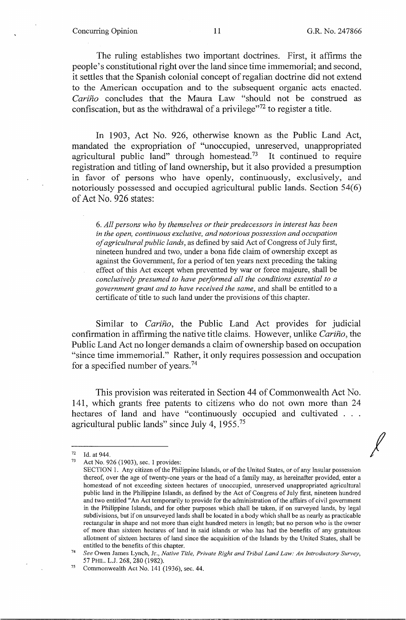#### Concurring Opinion 11 G.R. No. 247866

*I* 

The ruling establishes two important doctrines. First, it affirms the people's constitutional right over the land since time immemorial; and second, it settles that the Spanish colonial concept of regalian doctrine did not extend to the American occupation and to the subsequent organic acts enacted. *Carino* concludes that the Maura Law "should not be construed as confiscation, but as the withdrawal of a privilege $172$  to register a title.

In 1903, Act No. 926, otherwise known as the Public Land Act, mandated the expropriation of "unoccupied, unreserved, unappropriated agricultural public land" through homestead.<sup>73</sup> It continued to require registration and titling of land ownership, but it also provided a presumption in favor of persons who have openly, continuously, exclusively, and notoriously possessed and occupied agricultural public lands. Section 54(6) of Act No. 926 states:

6. *All persons who by themselves or their predecessors in interest has been in the open, continuous exclusive, and notorious possession and occupation of agricultural public lands,* as defined by said Act of Congress of July first, nineteen hundred and two, under a bona fide claim of ownership except as against the Government, for a period of ten years next preceding the taking effect of this Act except when prevented by war or force majeure, shall be *conclusively presumed to have performed all the conditions essential to a government grant and to have received the same,* and shall be entitled to a certificate of title to such land under the provisions of this chapter.

Similar to *Carino,* the Public Land Act provides for judicial confirmation in affinning the native title claims. However, unlike *Carino,* the Public Land Act no longer demands a claim of ownership based on occupation "since time immemorial." Rather, it only requires possession and occupation for a specified number of years. <sup>74</sup>

This provision was reiterated in Section 44 of Commonwealth Act No. 141, which grants free patents to citizens who do not own more than 24 hectares of land and have "continuously occupied and cultivated . . . agricultural public lands" since July 4, 1955.<sup>75</sup>

<sup>72</sup> Id. at 944.<br>
73 Act No. 926 (1903), sec. 1 provides:

SECTION 1. Any citizen of the Philippine Islands, or of the United States, or of any Insular possession thereof, over the age of twenty-one years or the head of a family may, as hereinafter provided, enter a homestead of not exceeding sixteen hectares of unoccupied, umeserved unappropriated agricultural public land in the Philippine Islands, as defined by the Act of Congress of July first, nineteen hundred and two entitled "An Act temporarily to provide for the administration of the affairs of civil government in the Philippine Islands, and for other purposes which shall be taken, if on surveyed lands, by legal subdivisions, but if on unsurveyed lands shall be located in a body which shall be as nearly as practicable rectangular in shape and not more than eight hundred meters in length; but no person who is the owner of more than sixteen hectares of land in said islands or who has had the benefits of any gratuitous allotment of sixteen hectares of land since the acquisition of the Islands by the United States, shall be entitled to the benefits of this chapter.

<sup>74</sup>*See* Owen James Lynch, Jr., *Native Title, Private Right and Tribal Land Law: An Introductory Survey,*  57 PHIL. L.J. 268, 280 (1982).<br><sup>75</sup> Commonwealth Act No. 141 (1936), sec. 44.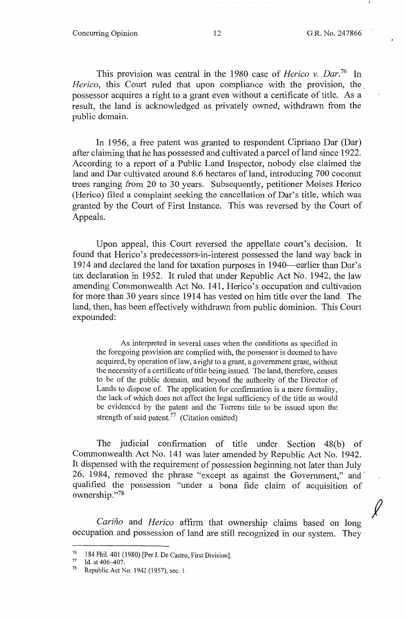$\cancel{\ell}$ 

This provision was central in the 1980 case of *Herico v. Dar.16* In *Herico*, this Court ruled that upon compliance with the provision, the. possessor acquires a right to a grant even without a certificate of title. As a result, the land is acknowledged as privately owned, withdrawn from the public domain.

In 1956, a free patent was granted to respondent Cipriano Dar (Dar) after claiming that he has possessed and cultivated a parcel of land since 1922. According to a report of a Public Land Inspector, nobody else claimed the land and Dar cultivated around 8.6 hectares of land, introducing 700 coconut trees ranging from 20 to 30 years. Subsequently, petitioner Moises Herico (Herico) filed a complaint seeking the cancellation of Dar's title, which was granted by the Court of First Instance. This was reversed by the Court of Appeals.

Upon appeal, this Court reversed the appellate court's decision. It found that Herico's predecessors-in-interest possessed the land way back in 1914 and declared the land for taxation purposes in 1940—earlier than Dar's tax declaration in 1952. It ruled that under Republic Act No. 1942, the law amending Commonwealth Act No. 141, Herico's occupation and cultivation for more than 30 years since 1914 has vested on him title over the land. The land, then, has been effectively withdrawn from public dominion. This Court expounded:

As interpreted in several cases when the conditions as specified in the foregoing provision are complied with, the possessor is deemed to have acquired, by operation oflaw, a right to a grant, a government grant, without the necessity of a certificate of title being issued. The land, therefore; ceases *to* be of the public domain, and beyond the authority of the Director of Lands to dispose of. The application for confirmation is a mere formality, the lack of which does not affect the legal sufficiency of the title as would be evidenced by the patent and the Torrens title *to* be issued upon the strength of said patent.<sup>77</sup> (Citation omitted)

The judicial confirmation of title under Section 48(b) of Commonwealth Act No. 141 was later amended by Republic Act No. 1942. It dispensed with the requirement of possession beginning not later than July 26, 1984, removed the phrase "except as against the Government," and· qualified the possession "under a bona fide claim of acquisition of ownership."<sup>78</sup>

*Carino* and *Herico* affirm that ownership claims based on long occupation and possession of land are still recognized in our system. They

<sup>76 184</sup> Phil. 401 (1980) [Per J. De Castro, First Division].<br>
77 Id. at 406–407.<br>
78 Republic Act No. 1942 (1957) 200-1

Republic Act No. 1942 (1957), sec. 1.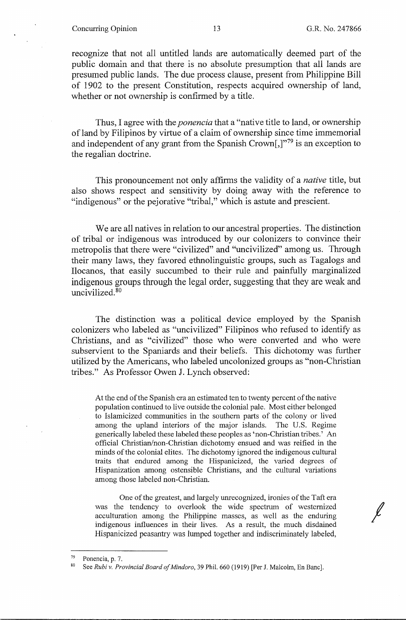### Concurring Opinion 13 G.R. No. 247866

*I* 

recognize that not all untitled lands are automatically deemed part of the public domain and that there is no absolute presumption that all lands are presumed public lands. The due process clause, present from Philippine Bill of 1902 to the present Constitution, respects acquired ownership of land, whether or not ownership is confirmed by a title.

Thus, I agree with the *ponencia* that a "native title to land, or ownership of land by Filipinos by virtue of a claim of ownership since time immemorial and independent of any grant from the Spanish Crown[,]"79 is an exception to the regalian doctrine.

This pronouncement not only affirms the validity of a *native* title, but also shows respect and sensitivity by doing away with the reference to "indigenous" or the pejorative "tribal," which is astute and prescient.

We are all natives in relation to our ancestral properties. The distinction of tribal or indigenous was introduced by our colonizers to convince their metropolis that there were "civilized" and "uncivilized" among us. Through their many laws, they favored ethnolinguistic groups, such as Tagalogs and Ilocanos, that easily succumbed to their rule and painfully marginalized indigenous groups through the legal order, suggesting that they are weak and uncivilized. <sup>80</sup>

The distinction was a political device employed by the Spanish colonizers who labeled as "uncivilized" Filipinos who refused to identify as Christians, and as "civilized" those who were converted and who were subservient to the Spaniards and their beliefs. This dichotomy was further utilized by the Americans, who labeled uncolonized groups as "non-Christian tribes." As Professor Owen J. Lynch observed:

At the end of the Spanish era an estimated ten to twenty percent of the native population continued to live outside the colonial pale. Most either belonged to Islamicized communities in the southern parts of the colony or lived among the upland interiors of the major islands. The U.S. Regime generically labeled these labeled these peoples as 'non-Christian tribes.' An official Christian/non-Christian dichotomy ensued and was reified in the minds of the colonial elites. The dichotomy ignored the indigenous cultural traits that endured among the Hispanicized, the varied degrees of Hispanization among ostensible Christians, and the cultural variations among those labeled non-Christian.

One of the greatest, and largely unrecognized, ironies of the Taft era was the tendency to overlook the wide spectrum of westernized acculturation among the Philippine masses, as well as the enduring indigenous influences in their lives. As a result, the much disdained Hispanicized peasantry was lumped together and indiscriminately labeled,

<sup>&</sup>lt;sup>79</sup> Ponencia, p. 7.<br><sup>80</sup> See *Rubi v. Provincial Board of Mindoro*, 39 Phil. 660 (1919) [Per J. Malcolm, En Banc].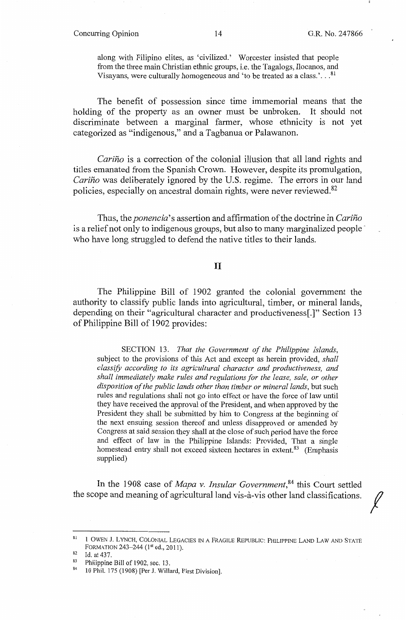#### Concurring Opinion 14 G.R. No. 247866

*f* 

along with Filipino elites, as 'civilized.' Worcester insisted that people from the three main Christian ethnic groups, i.e. the Tagalogs, Ilocanos, and Visayans, were culturally homogeneous and 'to be treated as a class.'... $^{81}$ 

The benefit of possession since time immemorial means that the holding of the property as an owner must be unbroken. It should not discriminate between a marginal farmer, whose ethnicity is not yet categorized as "indigenous," and a Tagbanua or Palawanon.

*Carino* is a correction of the colonial illusion that all land rights and titles emanated from the Spanish Crown. However, despite its promulgation, *Carino* was deliberately ignored by the U.S. regime. The errors in our land policies, especially on ancestral domain rights, were never reviewed. 82

Thus, the *ponencia's* assertion and affirmation of the doctrine in *Carino*  is a relief not only to indigenous groups, but also to many marginalized people<sup>+</sup> who have long struggled to defend the native titles to their lands.

# II

The Philippine Bill of 1902 granted the colonial government the authority to classify public lands into agricultural, timber, or mineral lands, depending on their "agricultural character and productiveness[.]" Section 13 of Philippine Bill of 1902 provides:

SECTION 13. *That the Government of the Philippine Islands,*  subject to the provisions of this Act and except as herein provided, *shall classify according to its agricultural character and productiveness, and shall immediately make rules and regulations for the lease, sale, or other disposition of the public lands other than timber or mineral lands,* but such rules and regulations shall not go into effect or have the force of law until they have received the approval of the President, and when approved by the President they shall be submitted by him to Congress at the beginning of the next ensuing session thereof and unless disapproved or amended by Congress at said session they shall at the close of such period have the force and effect of law in the Philippine Islands: Provided, That a single homestead entry shall not exceed sixteen hectares in extent.<sup>83</sup> (Emphasis supplied)

In the 1908 case of *Mapa v. Insular Government,* 84 this Court settled the scope and meaning of agricultural land vis-a-vis other land classifications.

<sup>81&</sup>lt;sup>1</sup> 1 OWEN J. LYNCH, COLONIAL LEGACIES IN A FRAGILE REPUBLIC: PHILIPPINE LAND LAW AND STATE FORMATION 243-244 ( $1<sup>st</sup>$  ed., 2011).

<sup>&</sup>lt;sup>82</sup> Id. at 437.<br><sup>83</sup> Philippine Bill of 1902, sec. 13.<br><sup>84</sup> 10 Phil. 175 (1908) [Per J. Willard, First Division].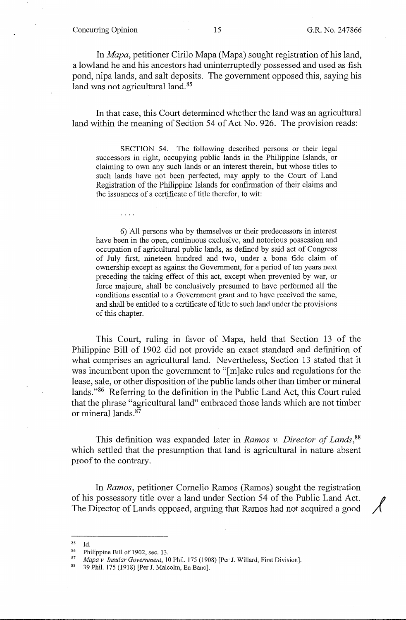### Concurring Opinion 15 G.R. No. 247866

 $\cdots$ 

In *Mapa,* petitioner Cirilo Mapa (Mapa) sought registration of his land, a lowland he and his ancestors had uninterruptedly possessed and used as fish pond, nipa lands, and salt deposits. The government opposed this, saying his land was not agricultural land.<sup>85</sup>

In that case, this Court determined whether the land was an agricultural land within the meaning of Section 54 of Act No. 926. The provision reads:

SECTION 54. The following described persons or their legal successors in right, occupying public lands in the Philippine Islands, or claiming to own any such lands or an interest therein, but whose titles to such lands have not been perfected, may apply to the Court of Land Registration of the Philippine Islands for confirmation of their claims and the issuances of a certificate of title therefor, to wit:

6) All persons who by themselves or their predecessors in interest have been in the open, continuous exclusive, and notorious possession and occupation of agricultural public lands, as defined by said act of Congress of July first, nineteen hundred and two, under a bona fide claim of ownership except as against the Government, for a period of ten years next preceding the taking effect of this act, except when prevented by war, or force majeure, shall be conclusively presumed to have performed all the conditions essential to a Government grant and to have received the same, and shall be entitled to a certificate of title to such land under the provisions of this chapter.

This Court, ruling in favor of Mapa, held that Section 13 of the Philippine Bill of 1902 did not provide an exact standard and definition of what comprises an agricultural land. Nevertheless, Section 13 stated that it was incumbent upon the government to "[m]ake rules and regulations for the lease, sale, or other disposition of the public lands other than timber or mineral lands."86 Referring to the definition in the Public Land Act, this Court ruled that the phrase "agricultural land" embraced those lands which are not timber or mineral lands. 87

This definition was expanded later in *Ramos v. Director of Lands,* <sup>88</sup> which settled that the presumption that land is agricultural in nature absent proof to the contrary.

In *Ramos,* petitioner Cornelio Ramos (Ramos) sought the registration of his possessory title over a land under Section 54 of the Public Land Act. The Director of Lands opposed, arguing that Ramos had not acquired a good

<sup>&</sup>lt;sup>85</sup> Id.<br><sup>86</sup> Philippine Bill of 1902, sec. 13.<br><sup>87</sup> *Mapa v. Insular Government*, 10 Phil. 175 (1908) [Per J. Willard, First Division].<br><sup>88</sup> 39 Phil. 175 (1918) [Per J. Malcolm, En Banc].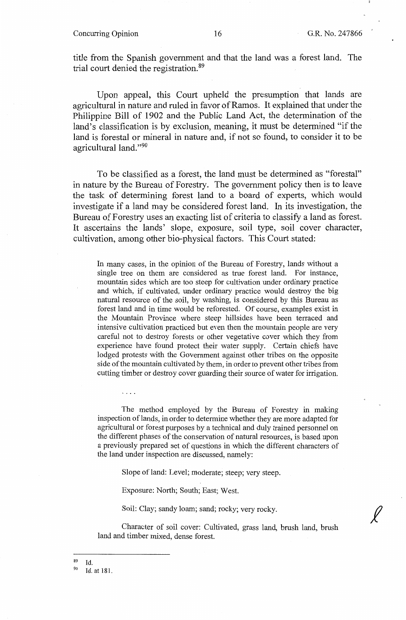#### Concurring Opinion 16 16 G.R. No. 247866

*f* 

title from the Spanish government and that the land was a forest land. The trial court denied the registration. 89

Upon appeal, this Court upheld the presumption that lands are agricultural in nature and ruled in favor of Ramos. It explained that under the Philippine Bill of 1902 and the Public Land Act, the determination of the land's classification is by exclusion, meaning, it must be determined "if the land is forestal or mineral in nature and, if not so found, to consider it to be agricultural land."90

To be classified as a forest, the land must be determined as "forestal" in nature by the Bureau of Forestry. The government policy then is to leave the task of determining forest land to a board of experts, which would investigate if a land may be considered forest land. In its investigation, the Bureau of Forestry uses an exacting list of criteria to classify a land as forest. It ascertains the lands' slope, exposure, soil type, soil cover character, cultivation, among other bio-physical factors. This Court stated:

In many cases, in the opinion of the Bureau of Forestry, lands without a single tree on them are considered as true forest land. For instance, mountain sides which are too steep for cultivation under ordinary practice and which, if cultivated, under ordinary practice would destroy the big natural resource of the soil, by washing, is considered by this Bureau as forest land and in time would be reforested. Of course, examples exist in the Mountain Province where steep hillsides have been terraced and intensive cultivation practiced but even then the mountain people are very careful not to destroy forests or other vegetative cover which they from experience have found protect their water supply. Certain chiefs have lodged protests with the Government against other tribes on the opposite side of the mountain cultivated by them, in order to prevent other tribes from cutting timber or destroy cover guarding their source of water for irrigation.

The method employed by the Bureau of Forestry in making inspection of lands, in order to determine whether they are more adapted for agricultural or forest purposes by a technical and duly trained personnel on the different phases of the conservation of natural resources, is based upon a previously prepared set of questions in which the different characters of the land under inspection are discussed, namely:

Slope of land: Level; moderate; steep; very steep.

Exposure: North; South; East; West.

Soil: Clay; sandy loam; sand; rocky; very rocky.

Character of soil cover: Cultivated, grass land, brush land, brush land and timber mixed, dense forest.

 $^{89}$  Id.

<sup>90</sup> Id. at 181.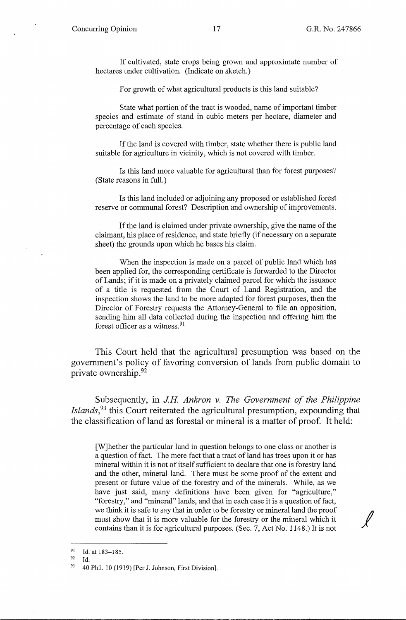If cultivated, state crops being grown and approximate number of hectares under cultivation. (Indicate on sketch.)

For growth of what agricultural products is this land suitable?

State what portion of the tract is wooded, name of important timber species and estimate of stand in cubic meters per hectare, diameter and percentage of each species.

If the land is covered with timber, state whether there is public land suitable for agriculture in vicinity, which is not covered with timber.

Is this land more valuable for agricultural than for forest purposes? (State reasons in full.)

Is this land included or adjoining any proposed or established forest reserve or communal forest? Description and ownership of improvements.

If the land is claimed under private ownership, give the name of the claimant, his place of residence, and state briefly (if necessary on a separate sheet) the grounds upon which he bases his claim.

When the inspection is made on a parcel of public land which has been applied for, the corresponding certificate is forwarded to the Director of Lands; if it is made on a privately claimed parcel for which the issuance of a title is requested from the Court of Land Registration, and the inspection shows the land to be more adapted for forest purposes, then the Director of Forestry requests the Attorney-General to file an opposition, sending him all data collected during the inspection and offering him the forest officer as a witness. <sup>91</sup>

This Court held that the agricultural presumption was based on the government's policy of favoring conversion of lands from public domain to private ownership.<sup>92</sup>

Subsequently, in *J.H Ankron v. The Government of the Philippine Islands*,<sup>93</sup> this Court reiterated the agricultural presumption, expounding that the classification of land as forestal or mineral is a matter of proof. It held:

[W]hether the particular land in question belongs to one class or another is a question of fact. The mere fact that a tract of land has trees upon it or has mineral within it is not of itself sufficient to declare that one is forestry land and the other, mineral land. There must be some proof of the extent and present or future value of the forestry and of the minerals. While, as we have just said, many definitions have been given for "agriculture," mave just said, many deminions have been given for agriculture,<br>"forestry," and "mineral" lands, and that in each case it is a question of fact,<br>we think it is safe to say that in order to be forestry or mineral land the p must show that it is more valuable for the forestry or the mineral which it contains than it is for agricultural purposes. (Sec. 7, Act No. 1148.) It is not

<sup>&</sup>lt;sup>91</sup> Id. at 183-185.

 $92$  Id.

<sup>93 40</sup> Phil. 10 (1919) [Per J. Johnson, First Division].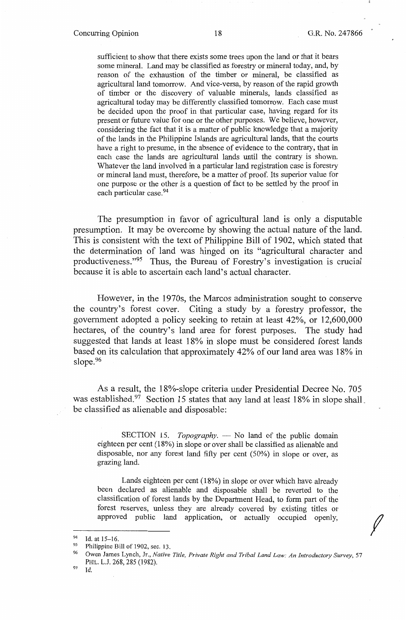*f* 

sufficient to show that there exists some trees upon the land or that it bears some mineral. Land may be classified as forestry or mineral today, and, by reason of the exhaustion of the timber or mineral, be classified as agricultural land tomorrow. And vice-versa, by reason of the rapid growth of timber or the discovery of valuable minerals, lands classified as agricultural today may be differently classified tomorrow. Each case must be decided upon the proof in that particular case, having regard for its present or future value for one or the other purposes. We believe, however, considering the fact that it is a matter of public knowledge that a majority of the lands in the Philippine Islands are agricultural lands, that the courts have a right to presume, in the absence of evidence to the contrary, that in each case the lands are agricultural lands until the contrary is shown. Whatever the land involved in a particular land registration case is forestry or mineral land must, therefore, be a matter of proof. Its superior value for one purpose or the other is a question of fact to be settled by the proof in each particular case. 94

The presumption in favor of agricultural land is only a disputable presumption. It may be overcome by showing the actual nature of the land. This is consistent with the text of Philippine Bill of 1902, which stated that the determination of land was hinged on its "agricultural character and productiveness."95 Thus, the Bureau of Forestry's investigation is crucial because it is able to ascertain each land's actual character.

However, in the 1970s, the Marcos administration sought to conserve the country's forest cover. Citing a study by a forestry professor, the government adopted a policy seeking to retain at least 42%, or 12,600,000 hectares, of the country's land area for forest purposes. The study had suggested that lands at least 18% in slope must be considered forest lands based on its calculation that approximately 42% of our land area was 18% in slope.<sup>96</sup>

As a result, the 18%-slope criteria under Presidential Decree No. 705 was established.<sup>97</sup> Section 15 states that any land at least 18% in slope shall. be classified as alienable and disposable:

SECTION 15. *Topography*. - No land of the public domain eighteen per cent (18%) in slope or over shall be classified as alienable and disposable, nor any forest land fifty per cent (50%) in slope or over, as grazing land.

Lands eighteen per cent (18%) in slope or over which have already been declared as alienable and disposable shall be reverted to the classification of forest lands by the Department Head, to form part of the forest reserves, unless they are already covered by existing titles or approved public land application, or actually occupied openly,

<sup>&</sup>lt;sup>94</sup> Id. at 15-16.<br><sup>95</sup> Philippine Bill of 1902, sec. 13.<br><sup>96</sup> Owen James Land, M. M.

<sup>96</sup> Owen James Lynch, Jr., *Native Title, Private Right and Tribal Land Law: An Introductory Survey,* 57 PHIL. L.J. 268, 285 (1982).<br><sup>97</sup> Id.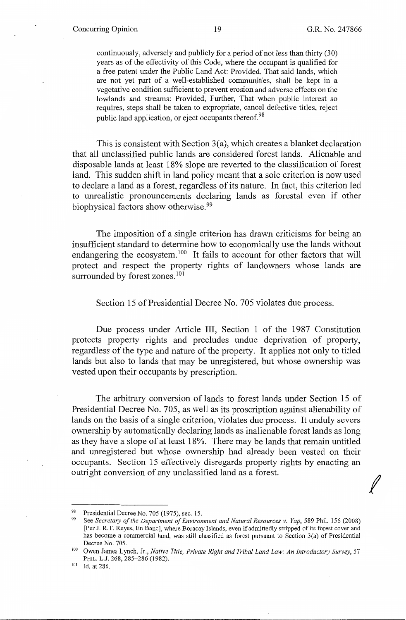*I* 

continuously, adversely and publicly for a period of not less than thirty (30) years as of the effectivity of this Code, where the occupant is qualified for a free patent under the Public Land Act: Provided, That said lands, which are not yet part of a well-established communities, shall be kept in a vegetative condition sufficient to prevent erosion and adverse effects on the lowlands and streams: Provided, Further, That when public interest so requires, steps shall be taken to expropriate, cancel defective titles, reject public land application, or eject occupants thereof.<sup>98</sup>

This is consistent with Section 3(a), which creates a blanket declaration that all unclassified public lands are considered forest lands. Alienable and disposable lands at least 18% slope are reverted to the classification of forest land. This sudden shift in land policy meant that a sole criterion is now used to declare a land as a forest, regardless of its nature. In fact, this criterion led to unrealistic pronouncements declaring lands as forestal even if other biophysical factors show otherwise. 99

The imposition of a single criterion has drawn criticisms for being an insufficient standard to detennine how to economically use the lands without endangering the ecosystem.<sup>100</sup> It fails to account for other factors that will protect and respect the property rights of landowners whose lands are surrounded by forest zones.<sup>101</sup>

Section 15 of Presidential Decree No. 705 violates due process.

Due process under Article III, Section 1 of the 1987 Constitution protects property rights and precludes undue deprivation of property, regardless of the type and nature of the property. It applies not only to titled lands but also to lands that may be unregistered, but whose ownership was vested upon their occupants by prescription.

The arbitrary conversion of lands to forest lands under Section 15 of Presidential Decree No. 705, as well as its proscription against alienability of lands on the basis of a single criterion, violates due process. It unduly severs ownership by automatically declaring lands as inalienable forest lands as long as they have a slope of at least 18%. There may be lands that remain untitled and unregistered but whose ownership had already been vested on their occupants. Section 15 effectively disregards property rights by enacting an outright conversion of any unclassified land as a forest.

<sup>&</sup>lt;sup>98</sup> Presidential Decree No. 705 (1975), sec. 15.<br><sup>99</sup> See *Secretary of the Department of Environment and Natural Resources v. Yap, 589 Phil. 156 (2008)* [Per J. R.T. Reyes, En Banc], where Boracay Islands, even if admittedly stripped of its forest cover and has become a commercial land, was still classified as forest pursuant to Section 3(a) of Presidential

Decree No. 705.<br>Owen James Lynch, Jr., *Native Title, Private Right and Tribal Land Law: An Introductory Survey*, 57 PHIL. L.J. 268, 285-286 (1982).<br><sup>101</sup> Id. at 286.